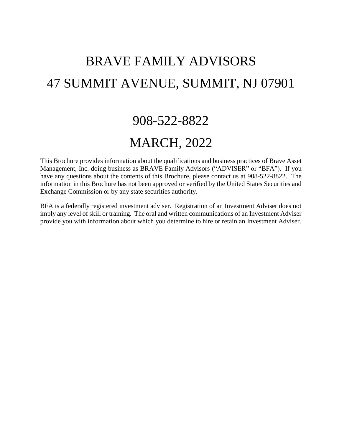# BRAVE FAMILY ADVISORS 47 SUMMIT AVENUE, SUMMIT, NJ 07901

# 908-522-8822

# MARCH, 2022

This Brochure provides information about the qualifications and business practices of Brave Asset Management, Inc. doing business as BRAVE Family Advisors ("ADVISER" or "BFA"). If you have any questions about the contents of this Brochure, please contact us at 908-522-8822. The information in this Brochure has not been approved or verified by the United States Securities and Exchange Commission or by any state securities authority.

BFA is a federally registered investment adviser. Registration of an Investment Adviser does not imply any level of skill or training. The oral and written communications of an Investment Adviser provide you with information about which you determine to hire or retain an Investment Adviser.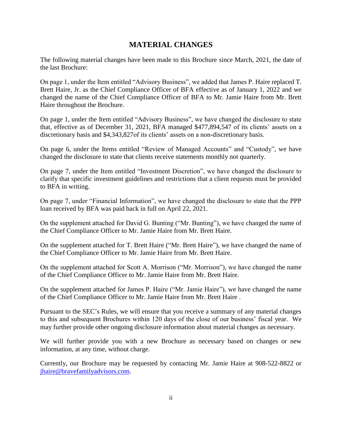### **MATERIAL CHANGES**

<span id="page-1-0"></span>The following material changes have been made to this Brochure since March, 2021, the date of the last Brochure:

On page 1, under the Item entitled "Advisory Business", we added that James P. Haire replaced T. Brett Haire, Jr. as the Chief Compliance Officer of BFA effective as of January 1, 2022 and we changed the name of the Chief Compliance Officer of BFA to Mr. Jamie Haire from Mr. Brett Haire throughout the Brochure.

On page 1, under the Item entitled "Advisory Business", we have changed the disclosure to state that, effective as of December 31, 2021, BFA managed \$477,894,547 of its clients' assets on a discretionary basis and \$4,343,827of its clients' assets on a non-discretionary basis.

On page 6, under the Items entitled "Review of Managed Accounts" and "Custody", we have changed the disclosure to state that clients receive statements monthly not quarterly.

On page 7, under the Item entitled "Investment Discretion", we have changed the disclosure to clarify that specific investment guidelines and restrictions that a client requests must be provided to BFA in writing.

On page 7, under "Financial Information", we have changed the disclosure to state that the PPP loan received by BFA was paid back in full on April 22, 2021.

On the supplement attached for David G. Bunting ("Mr. Bunting"), we have changed the name of the Chief Compliance Officer to Mr. Jamie Haire from Mr. Brett Haire.

On the supplement attached for T. Brett Haire ("Mr. Brett Haire"), we have changed the name of the Chief Compliance Officer to Mr. Jamie Haire from Mr. Brett Haire.

On the supplement attached for Scott A. Morrison ("Mr. Morrison"), we have changed the name of the Chief Compliance Officer to Mr. Jamie Haire from Mr. Brett Haire.

On the supplement attached for James P. Haire ("Mr. Jamie Haire"), we have changed the name of the Chief Compliance Officer to Mr. Jamie Haire from Mr. Brett Haire .

Pursuant to the SEC's Rules, we will ensure that you receive a summary of any material changes to this and subsequent Brochures within 120 days of the close of our business' fiscal year. We may further provide other ongoing disclosure information about material changes as necessary.

We will further provide you with a new Brochure as necessary based on changes or new information, at any time, without charge.

Currently, our Brochure may be requested by contacting Mr. Jamie Haire at 908-522-8822 or [jhaire@bravefamilyadvisors.com.](mailto:jhaire@bravefamilyadvisors.com)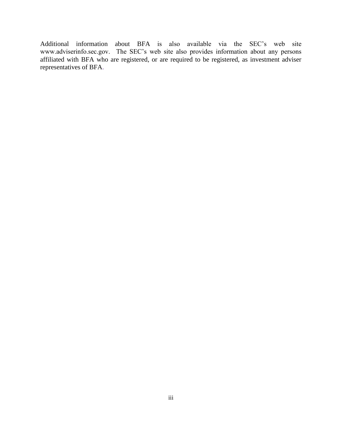Additional information about BFA is also available via the SEC's web site www.adviserinfo.sec.gov. The SEC's web site also provides information about any persons affiliated with BFA who are registered, or are required to be registered, as investment adviser representatives of BFA.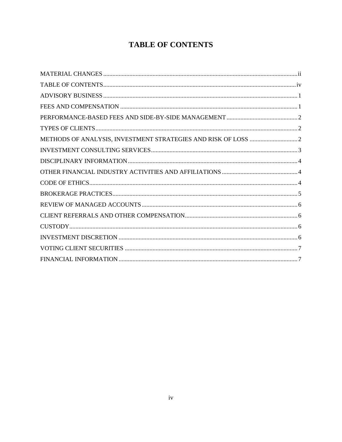# **TABLE OF CONTENTS**

<span id="page-3-0"></span>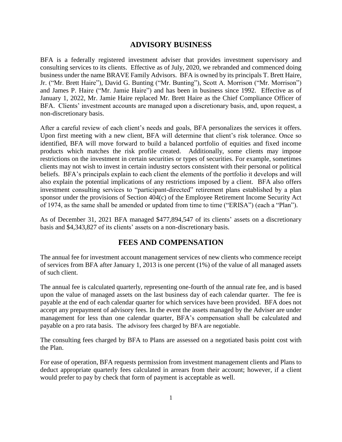### **ADVISORY BUSINESS**

<span id="page-4-0"></span>BFA is a federally registered investment adviser that provides investment supervisory and consulting services to its clients. Effective as of July, 2020, we rebranded and commenced doing business under the name BRAVE Family Advisors. BFA is owned by its principals T. Brett Haire, Jr. ("Mr. Brett Haire"), David G. Bunting ("Mr. Bunting"), Scott A. Morrison ("Mr. Morrison") and James P. Haire ("Mr. Jamie Haire") and has been in business since 1992. Effective as of January 1, 2022, Mr. Jamie Haire replaced Mr. Brett Haire as the Chief Compliance Officer of BFA. Clients' investment accounts are managed upon a discretionary basis, and, upon request, a non-discretionary basis.

After a careful review of each client's needs and goals, BFA personalizes the services it offers. Upon first meeting with a new client, BFA will determine that client's risk tolerance. Once so identified, BFA will move forward to build a balanced portfolio of equities and fixed income products which matches the risk profile created. Additionally, some clients may impose restrictions on the investment in certain securities or types of securities. For example, sometimes clients may not wish to invest in certain industry sectors consistent with their personal or political beliefs. BFA's principals explain to each client the elements of the portfolio it develops and will also explain the potential implications of any restrictions imposed by a client. BFA also offers investment consulting services to "participant-directed" retirement plans established by a plan sponsor under the provisions of Section 404(c) of the Employee Retirement Income Security Act of 1974, as the same shall be amended or updated from time to time ("ERISA") (each a "Plan").

As of December 31, 2021 BFA managed \$477,894,547 of its clients' assets on a discretionary basis and \$4,343,827 of its clients' assets on a non-discretionary basis.

### **FEES AND COMPENSATION**

<span id="page-4-1"></span>The annual fee for investment account management services of new clients who commence receipt of services from BFA after January 1, 2013 is one percent (1%) of the value of all managed assets of such client.

The annual fee is calculated quarterly, representing one-fourth of the annual rate fee, and is based upon the value of managed assets on the last business day of each calendar quarter. The fee is payable at the end of each calendar quarter for which services have been provided. BFA does not accept any prepayment of advisory fees. In the event the assets managed by the Adviser are under management for less than one calendar quarter, BFA's compensation shall be calculated and payable on a pro rata basis. The advisory fees charged by BFA are negotiable.

The consulting fees charged by BFA to Plans are assessed on a negotiated basis point cost with the Plan.

For ease of operation, BFA requests permission from investment management clients and Plans to deduct appropriate quarterly fees calculated in arrears from their account; however, if a client would prefer to pay by check that form of payment is acceptable as well.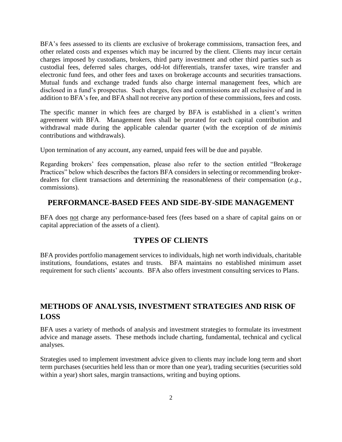BFA's fees assessed to its clients are exclusive of brokerage commissions, transaction fees, and other related costs and expenses which may be incurred by the client. Clients may incur certain charges imposed by custodians, brokers, third party investment and other third parties such as custodial fees, deferred sales charges, odd-lot differentials, transfer taxes, wire transfer and electronic fund fees, and other fees and taxes on brokerage accounts and securities transactions. Mutual funds and exchange traded funds also charge internal management fees, which are disclosed in a fund's prospectus. Such charges, fees and commissions are all exclusive of and in addition to BFA's fee, and BFA shall not receive any portion of these commissions, fees and costs.

The specific manner in which fees are charged by BFA is established in a client's written agreement with BFA. Management fees shall be prorated for each capital contribution and withdrawal made during the applicable calendar quarter (with the exception of *de minimis* contributions and withdrawals).

Upon termination of any account, any earned, unpaid fees will be due and payable.

Regarding brokers' fees compensation, please also refer to the section entitled "Brokerage Practices" below which describes the factors BFA considers in selecting or recommending brokerdealers for client transactions and determining the reasonableness of their compensation (*e.g.*, commissions).

### <span id="page-5-0"></span>**PERFORMANCE-BASED FEES AND SIDE-BY-SIDE MANAGEMENT**

BFA does not charge any performance-based fees (fees based on a share of capital gains on or capital appreciation of the assets of a client).

### **TYPES OF CLIENTS**

<span id="page-5-1"></span>BFA provides portfolio management services to individuals, high net worth individuals, charitable institutions, foundations, estates and trusts. BFA maintains no established minimum asset requirement for such clients' accounts. BFA also offers investment consulting services to Plans.

### <span id="page-5-2"></span>**METHODS OF ANALYSIS, INVESTMENT STRATEGIES AND RISK OF LOSS**

BFA uses a variety of methods of analysis and investment strategies to formulate its investment advice and manage assets. These methods include charting, fundamental, technical and cyclical analyses.

Strategies used to implement investment advice given to clients may include long term and short term purchases (securities held less than or more than one year), trading securities (securities sold within a year) short sales, margin transactions, writing and buying options.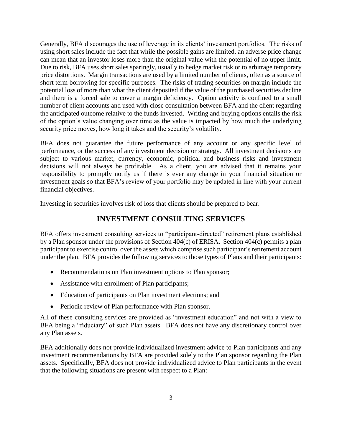Generally, BFA discourages the use of leverage in its clients' investment portfolios. The risks of using short sales include the fact that while the possible gains are limited, an adverse price change can mean that an investor loses more than the original value with the potential of no upper limit. Due to risk, BFA uses short sales sparingly, usually to hedge market risk or to arbitrage temporary price distortions. Margin transactions are used by a limited number of clients, often as a source of short term borrowing for specific purposes. The risks of trading securities on margin include the potential loss of more than what the client deposited if the value of the purchased securities decline and there is a forced sale to cover a margin deficiency. Option activity is confined to a small number of client accounts and used with close consultation between BFA and the client regarding the anticipated outcome relative to the funds invested. Writing and buying options entails the risk of the option's value changing over time as the value is impacted by how much the underlying security price moves, how long it takes and the security's volatility.

BFA does not guarantee the future performance of any account or any specific level of performance, or the success of any investment decision or strategy. All investment decisions are subject to various market, currency, economic, political and business risks and investment decisions will not always be profitable. As a client, you are advised that it remains your responsibility to promptly notify us if there is ever any change in your financial situation or investment goals so that BFA's review of your portfolio may be updated in line with your current financial objectives.

<span id="page-6-0"></span>Investing in securities involves risk of loss that clients should be prepared to bear.

## **INVESTMENT CONSULTING SERVICES**

BFA offers investment consulting services to "participant-directed" retirement plans established by a Plan sponsor under the provisions of Section 404(c) of ERISA. Section 404(c) permits a plan participant to exercise control over the assets which comprise such participant's retirement account under the plan. BFA provides the following services to those types of Plans and their participants:

- Recommendations on Plan investment options to Plan sponsor;
- Assistance with enrollment of Plan participants;
- Education of participants on Plan investment elections; and
- Periodic review of Plan performance with Plan sponsor.

All of these consulting services are provided as "investment education" and not with a view to BFA being a "fiduciary" of such Plan assets. BFA does not have any discretionary control over any Plan assets.

BFA additionally does not provide individualized investment advice to Plan participants and any investment recommendations by BFA are provided solely to the Plan sponsor regarding the Plan assets. Specifically, BFA does not provide individualized advice to Plan participants in the event that the following situations are present with respect to a Plan: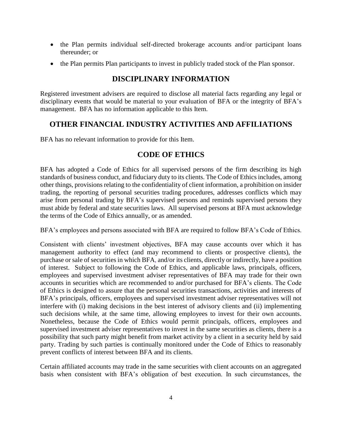- the Plan permits individual self-directed brokerage accounts and/or participant loans thereunder; or
- the Plan permits Plan participants to invest in publicly traded stock of the Plan sponsor.

## **DISCIPLINARY INFORMATION**

<span id="page-7-0"></span>Registered investment advisers are required to disclose all material facts regarding any legal or disciplinary events that would be material to your evaluation of BFA or the integrity of BFA's management. BFA has no information applicable to this Item.

### <span id="page-7-1"></span>**OTHER FINANCIAL INDUSTRY ACTIVITIES AND AFFILIATIONS**

<span id="page-7-2"></span>BFA has no relevant information to provide for this Item.

### **CODE OF ETHICS**

BFA has adopted a Code of Ethics for all supervised persons of the firm describing its high standards of business conduct, and fiduciary duty to its clients. The Code of Ethics includes, among other things, provisions relating to the confidentiality of client information, a prohibition on insider trading, the reporting of personal securities trading procedures, addresses conflicts which may arise from personal trading by BFA's supervised persons and reminds supervised persons they must abide by federal and state securities laws. All supervised persons at BFA must acknowledge the terms of the Code of Ethics annually, or as amended.

BFA's employees and persons associated with BFA are required to follow BFA's Code of Ethics.

Consistent with clients' investment objectives, BFA may cause accounts over which it has management authority to effect (and may recommend to clients or prospective clients), the purchase or sale of securities in which BFA, and/or its clients, directly or indirectly, have a position of interest. Subject to following the Code of Ethics, and applicable laws, principals, officers, employees and supervised investment adviser representatives of BFA may trade for their own accounts in securities which are recommended to and/or purchased for BFA's clients. The Code of Ethics is designed to assure that the personal securities transactions, activities and interests of BFA's principals, officers, employees and supervised investment adviser representatives will not interfere with (i) making decisions in the best interest of advisory clients and (ii) implementing such decisions while, at the same time, allowing employees to invest for their own accounts. Nonetheless, because the Code of Ethics would permit principals, officers, employees and supervised investment adviser representatives to invest in the same securities as clients, there is a possibility that such party might benefit from market activity by a client in a security held by said party. Trading by such parties is continually monitored under the Code of Ethics to reasonably prevent conflicts of interest between BFA and its clients.

Certain affiliated accounts may trade in the same securities with client accounts on an aggregated basis when consistent with BFA's obligation of best execution. In such circumstances, the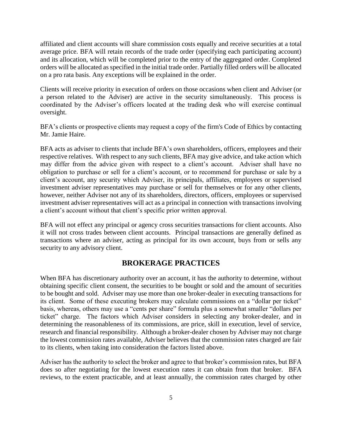affiliated and client accounts will share commission costs equally and receive securities at a total average price. BFA will retain records of the trade order (specifying each participating account) and its allocation, which will be completed prior to the entry of the aggregated order. Completed orders will be allocated as specified in the initial trade order. Partially filled orders will be allocated on a pro rata basis. Any exceptions will be explained in the order.

Clients will receive priority in execution of orders on those occasions when client and Adviser (or a person related to the Adviser) are active in the security simultaneously. This process is coordinated by the Adviser's officers located at the trading desk who will exercise continual oversight.

BFA's clients or prospective clients may request a copy of the firm's Code of Ethics by contacting Mr. Jamie Haire.

BFA acts as adviser to clients that include BFA's own shareholders, officers, employees and their respective relatives. With respect to any such clients, BFA may give advice, and take action which may differ from the advice given with respect to a client's account. Adviser shall have no obligation to purchase or sell for a client's account, or to recommend for purchase or sale by a client's account, any security which Adviser, its principals, affiliates, employees or supervised investment adviser representatives may purchase or sell for themselves or for any other clients, however, neither Adviser not any of its shareholders, directors, officers, employees or supervised investment adviser representatives will act as a principal in connection with transactions involving a client's account without that client's specific prior written approval.

BFA will not effect any principal or agency cross securities transactions for client accounts. Also it will not cross trades between client accounts. Principal transactions are generally defined as transactions where an adviser, acting as principal for its own account, buys from or sells any security to any advisory client.

### **BROKERAGE PRACTICES**

<span id="page-8-0"></span>When BFA has discretionary authority over an account, it has the authority to determine, without obtaining specific client consent, the securities to be bought or sold and the amount of securities to be bought and sold. Adviser may use more than one broker-dealer in executing transactions for its client. Some of these executing brokers may calculate commissions on a "dollar per ticket" basis, whereas, others may use a "cents per share" formula plus a somewhat smaller "dollars per ticket" charge. The factors which Adviser considers in selecting any broker-dealer, and in determining the reasonableness of its commissions, are price, skill in execution, level of service, research and financial responsibility. Although a broker-dealer chosen by Adviser may not charge the lowest commission rates available, Adviser believes that the commission rates charged are fair to its clients, when taking into consideration the factors listed above.

Adviser has the authority to select the broker and agree to that broker's commission rates, but BFA does so after negotiating for the lowest execution rates it can obtain from that broker. BFA reviews, to the extent practicable, and at least annually, the commission rates charged by other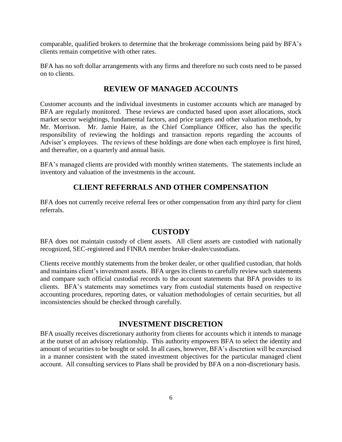comparable, qualified brokers to determine that the brokerage commissions being paid by BFA's clients remain competitive with other rates.

BFA has no soft dollar arrangements with any firms and therefore no such costs need to be passed on to clients.

### **REVIEW OF MANAGED ACCOUNTS**

<span id="page-9-0"></span>Customer accounts and the individual investments in customer accounts which are managed by BFA are regularly monitored. These reviews are conducted based upon asset allocations, stock market sector weightings, fundamental factors, and price targets and other valuation methods, by Mr. Morrison. Mr. Jamie Haire, as the Chief Compliance Officer, also has the specific responsibility of reviewing the holdings and transaction reports regarding the accounts of Adviser's employees. The reviews of these holdings are done when each employee is first hired, and thereafter, on a quarterly and annual basis.

BFA's managed clients are provided with monthly written statements. The statements include an inventory and valuation of the investments in the account.

### **CLIENT REFERRALS AND OTHER COMPENSATION**

<span id="page-9-1"></span>BFA does not currently receive referral fees or other compensation from any third party for client referrals.

### **CUSTODY**

<span id="page-9-2"></span>BFA does not maintain custody of client assets. All client assets are custodied with nationally recognized, SEC-registered and FINRA member broker-dealer/custodians.

Clients receive monthly statements from the broker dealer, or other qualified custodian, that holds and maintains client's investment assets. BFA urges its clients to carefully review such statements and compare such official custodial records to the account statements that BFA provides to its clients. BFA's statements may sometimes vary from custodial statements based on respective accounting procedures, reporting dates, or valuation methodologies of certain securities, but all inconsistencies should be checked through carefully.

### **INVESTMENT DISCRETION**

<span id="page-9-3"></span>BFA usually receives discretionary authority from clients for accounts which it intends to manage at the outset of an advisory relationship. This authority empowers BFA to select the identity and amount of securities to be bought or sold. In all cases, however, BFA's discretion will be exercised in a manner consistent with the stated investment objectives for the particular managed client account. All consulting services to Plans shall be provided by BFA on a non-discretionary basis.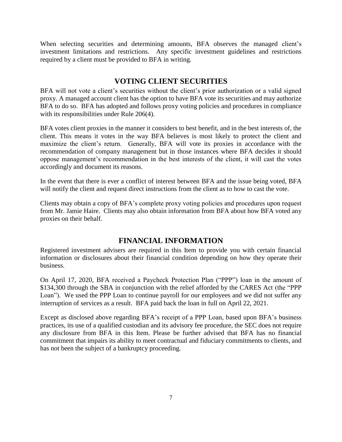When selecting securities and determining amounts, BFA observes the managed client's investment limitations and restrictions. Any specific investment guidelines and restrictions required by a client must be provided to BFA in writing.

### **VOTING CLIENT SECURITIES**

<span id="page-10-0"></span>BFA will not vote a client's securities without the client's prior authorization or a valid signed proxy. A managed account client has the option to have BFA vote its securities and may authorize BFA to do so. BFA has adopted and follows proxy voting policies and procedures in compliance with its responsibilities under Rule 206(4).

BFA votes client proxies in the manner it considers to best benefit, and in the best interests of, the client. This means it votes in the way BFA believes is most likely to protect the client and maximize the client's return. Generally, BFA will vote its proxies in accordance with the recommendation of company management but in those instances where BFA decides it should oppose management's recommendation in the best interests of the client, it will cast the votes accordingly and document its reasons.

In the event that there is ever a conflict of interest between BFA and the issue being voted, BFA will notify the client and request direct instructions from the client as to how to cast the vote.

Clients may obtain a copy of BFA's complete proxy voting policies and procedures upon request from Mr. Jamie Haire. Clients may also obtain information from BFA about how BFA voted any proxies on their behalf.

### **FINANCIAL INFORMATION**

<span id="page-10-1"></span>Registered investment advisers are required in this Item to provide you with certain financial information or disclosures about their financial condition depending on how they operate their business.

On April 17, 2020, BFA received a Paycheck Protection Plan ("PPP") loan in the amount of \$134,300 through the SBA in conjunction with the relief afforded by the CARES Act (the "PPP Loan"). We used the PPP Loan to continue payroll for our employees and we did not suffer any interruption of services as a result. BFA paid back the loan in full on April 22, 2021.

Except as disclosed above regarding BFA's receipt of a PPP Loan, based upon BFA's business practices, its use of a qualified custodian and its advisory fee procedure, the SEC does not require any disclosure from BFA in this Item. Please be further advised that BFA has no financial commitment that impairs its ability to meet contractual and fiduciary commitments to clients, and has not been the subject of a bankruptcy proceeding.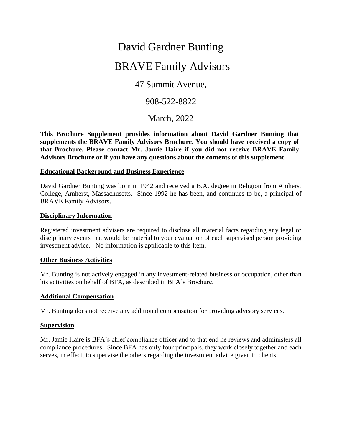# David Gardner Bunting

# BRAVE Family Advisors

47 Summit Avenue,

908-522-8822

March, 2022

**This Brochure Supplement provides information about David Gardner Bunting that supplements the BRAVE Family Advisors Brochure. You should have received a copy of that Brochure. Please contact Mr. Jamie Haire if you did not receive BRAVE Family Advisors Brochure or if you have any questions about the contents of this supplement.** 

### **Educational Background and Business Experience**

David Gardner Bunting was born in 1942 and received a B.A. degree in Religion from Amherst College, Amherst, Massachusetts. Since 1992 he has been, and continues to be, a principal of BRAVE Family Advisors.

### **Disciplinary Information**

Registered investment advisers are required to disclose all material facts regarding any legal or disciplinary events that would be material to your evaluation of each supervised person providing investment advice. No information is applicable to this Item.

### **Other Business Activities**

Mr. Bunting is not actively engaged in any investment-related business or occupation, other than his activities on behalf of BFA, as described in BFA's Brochure.

### **Additional Compensation**

Mr. Bunting does not receive any additional compensation for providing advisory services.

### **Supervision**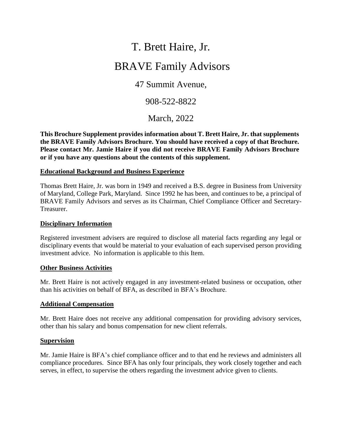# T. Brett Haire, Jr.

# BRAVE Family Advisors

47 Summit Avenue,

908-522-8822

March, 2022

**This Brochure Supplement provides information about T. Brett Haire, Jr. that supplements the BRAVE Family Advisors Brochure. You should have received a copy of that Brochure. Please contact Mr. Jamie Haire if you did not receive BRAVE Family Advisors Brochure or if you have any questions about the contents of this supplement.** 

### **Educational Background and Business Experience**

Thomas Brett Haire, Jr. was born in 1949 and received a B.S. degree in Business from University of Maryland, College Park, Maryland. Since 1992 he has been, and continues to be, a principal of BRAVE Family Advisors and serves as its Chairman, Chief Compliance Officer and Secretary-Treasurer.

### **Disciplinary Information**

Registered investment advisers are required to disclose all material facts regarding any legal or disciplinary events that would be material to your evaluation of each supervised person providing investment advice. No information is applicable to this Item.

### **Other Business Activities**

Mr. Brett Haire is not actively engaged in any investment-related business or occupation, other than his activities on behalf of BFA, as described in BFA's Brochure.

### **Additional Compensation**

Mr. Brett Haire does not receive any additional compensation for providing advisory services, other than his salary and bonus compensation for new client referrals.

### **Supervision**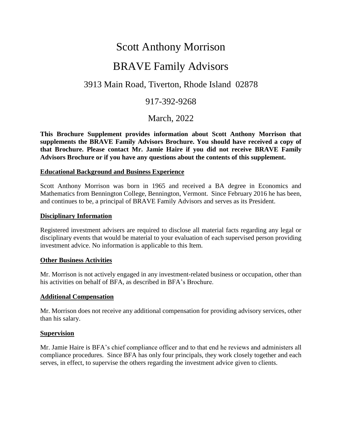# Scott Anthony Morrison

# BRAVE Family Advisors

# 3913 Main Road, Tiverton, Rhode Island 02878

## 917-392-9268

March, 2022

**This Brochure Supplement provides information about Scott Anthony Morrison that supplements the BRAVE Family Advisors Brochure. You should have received a copy of that Brochure. Please contact Mr. Jamie Haire if you did not receive BRAVE Family Advisors Brochure or if you have any questions about the contents of this supplement.** 

### **Educational Background and Business Experience**

Scott Anthony Morrison was born in 1965 and received a BA degree in Economics and Mathematics from Bennington College, Bennington, Vermont. Since February 2016 he has been, and continues to be, a principal of BRAVE Family Advisors and serves as its President.

### **Disciplinary Information**

Registered investment advisers are required to disclose all material facts regarding any legal or disciplinary events that would be material to your evaluation of each supervised person providing investment advice. No information is applicable to this Item.

### **Other Business Activities**

Mr. Morrison is not actively engaged in any investment-related business or occupation, other than his activities on behalf of BFA, as described in BFA's Brochure.

### **Additional Compensation**

Mr. Morrison does not receive any additional compensation for providing advisory services, other than his salary.

### **Supervision**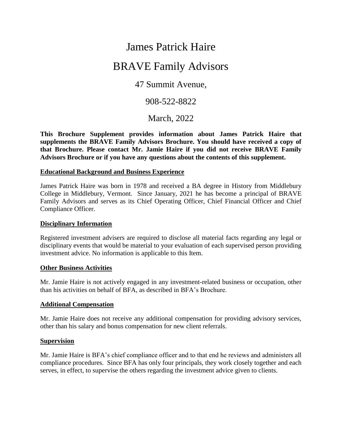# James Patrick Haire

# BRAVE Family Advisors

# 47 Summit Avenue,

# 908-522-8822

March, 2022

**This Brochure Supplement provides information about James Patrick Haire that supplements the BRAVE Family Advisors Brochure. You should have received a copy of that Brochure. Please contact Mr. Jamie Haire if you did not receive BRAVE Family Advisors Brochure or if you have any questions about the contents of this supplement.** 

### **Educational Background and Business Experience**

James Patrick Haire was born in 1978 and received a BA degree in History from Middlebury College in Middlebury, Vermont. Since January, 2021 he has become a principal of BRAVE Family Advisors and serves as its Chief Operating Officer, Chief Financial Officer and Chief Compliance Officer.

### **Disciplinary Information**

Registered investment advisers are required to disclose all material facts regarding any legal or disciplinary events that would be material to your evaluation of each supervised person providing investment advice. No information is applicable to this Item.

### **Other Business Activities**

Mr. Jamie Haire is not actively engaged in any investment-related business or occupation, other than his activities on behalf of BFA, as described in BFA's Brochure.

### **Additional Compensation**

Mr. Jamie Haire does not receive any additional compensation for providing advisory services, other than his salary and bonus compensation for new client referrals.

### **Supervision**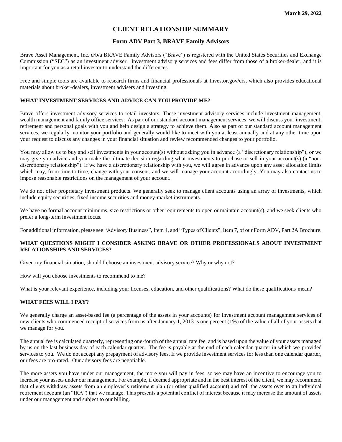### **CLIENT RELATIONSHIP SUMMARY**

### **Form ADV Part 3, BRAVE Family Advisors**

Brave Asset Management, Inc. d/b/a BRAVE Family Advisors ("Brave") is registered with the United States Securities and Exchange Commission ("SEC") as an investment adviser. Investment advisory services and fees differ from those of a broker-dealer, and it is important for you as a retail investor to understand the differences.

Free and simple tools are available to research firms and financial professionals at Investor.gov/crs, which also provides educational materials about broker-dealers, investment advisers and investing.

#### **WHAT INVESTMENT SERVICES AND ADVICE CAN YOU PROVIDE ME?**

Brave offers investment advisory services to retail investors. These investment advisory services include investment management, wealth management and family office services. As part of our standard account management services, we will discuss your investment, retirement and personal goals with you and help design a strategy to achieve them. Also as part of our standard account management services, we regularly monitor your portfolio and generally would like to meet with you at least annually and at any other time upon your request to discuss any changes in your financial situation and review recommended changes to your portfolio.

You may allow us to buy and sell investments in your account(s) without asking you in advance (a "discretionary relationship"), or we may give you advice and you make the ultimate decision regarding what investments to purchase or sell in your account(s) (a "nondiscretionary relationship"). If we have a discretionary relationship with you, we will agree in advance upon any asset allocation limits which may, from time to time, change with your consent, and we will manage your account accordingly. You may also contact us to impose reasonable restrictions on the management of your account.

We do not offer proprietary investment products. We generally seek to manage client accounts using an array of investments, which include equity securities, fixed income securities and money-market instruments.

We have no formal account minimums, size restrictions or other requirements to open or maintain account(s), and we seek clients who prefer a long-term investment focus.

For additional information, please see "Advisory Business", Item 4, and "Types of Clients", Item 7, of our Form ADV, Part 2A Brochure.

#### **WHAT QUESTIONS MIGHT I CONSIDER ASKING BRAVE OR OTHER PROFESSIONALS ABOUT INVESTMENT RELATIONSHIPS AND SERVICES?**

Given my financial situation, should I choose an investment advisory service? Why or why not?

How will you choose investments to recommend to me?

What is your relevant experience, including your licenses, education, and other qualifications? What do these qualifications mean?

#### **WHAT FEES WILL I PAY?**

We generally charge an asset-based fee (a percentage of the assets in your accounts) for investment account management services of new clients who commenced receipt of services from us after January 1, 2013 is one percent (1%) of the value of all of your assets that we manage for you.

The annual fee is calculated quarterly, representing one-fourth of the annual rate fee, and is based upon the value of your assets managed by us on the last business day of each calendar quarter. The fee is payable at the end of each calendar quarter in which we provided services to you. We do not accept any prepayment of advisory fees. If we provide investment services for less than one calendar quarter, our fees are pro-rated. Our advisory fees are negotiable.

The more assets you have under our management, the more you will pay in fees, so we may have an incentive to encourage you to increase your assets under our management. For example, if deemed appropriate and in the best interest of the client, we may recommend that clients withdraw assets from an employer's retirement plan (or other qualified account) and roll the assets over to an individual retirement account (an "IRA") that we manage. This presents a potential conflict of interest because it may increase the amount of assets under our management and subject to our billing.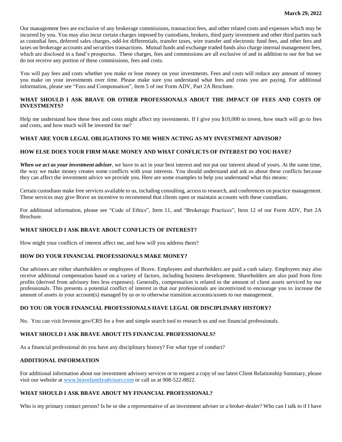Our management fees are exclusive of any brokerage commissions, transaction fees, and other related costs and expenses which may be incurred by you. You may also incur certain charges imposed by custodians, brokers, third party investment and other third parties such as custodial fees, deferred sales charges, odd-lot differentials, transfer taxes, wire transfer and electronic fund fees, and other fees and taxes on brokerage accounts and securities transactions. Mutual funds and exchange traded funds also charge internal management fees, which are disclosed in a fund's prospectus. These charges, fees and commissions are all exclusive of and in addition to our fee but we do not receive any portion of these commissions, fees and costs.

You will pay fees and costs whether you make or lose money on your investments. Fees and costs will reduce any amount of money you make on your investments over time. Please make sure you understand what fees and costs you are paying. For additional information, please see "Fees and Compensation", Item 5 of our Form ADV, Part 2A Brochure.

### **WHAT SHOULD I ASK BRAVE OR OTHER PROFESSIONALS ABOUT THE IMPACT OF FEES AND COSTS OF INVESTMENTS?**

Help me understand how these fees and costs might affect my investments. If I give you \$10,000 to invest, how much will go to fees and costs, and how much will be invested for me?

### **WHAT ARE YOUR LEGAL OBLIGATIONS TO ME WHEN ACTING AS MY INVESTMENT ADVISOR?**

### **HOW ELSE DOES YOUR FIRM MAKE MONEY AND WHAT CONFLICTS OF INTEREST DO YOU HAVE?**

*When we act as your investment adviser*, we have to act in your best interest and not put our interest ahead of yours. At the same time, the way we make money creates some conflicts with your interests. You should understand and ask us about these conflicts because they can affect the investment advice we provide you. Here are some examples to help you understand what this means:

Certain custodians make free services available to us, including consulting, access to research, and conferences on practice management. These services may give Brave an incentive to recommend that clients open or maintain accounts with these custodians.

For additional information, please see "Code of Ethics", Item 11, and "Brokerage Practices", Item 12 of our Form ADV, Part 2A Brochure.

#### **WHAT SHOULD I ASK BRAVE ABOUT CONFLICTS OF INTEREST?**

How might your conflicts of interest affect me, and how will you address them?

#### **HOW DO YOUR FINANCIAL PROFESSIONALS MAKE MONEY?**

Our advisors are either shareholders or employees of Brave. Employees and shareholders are paid a cash salary. Employees may also receive additional compensation based on a variety of factors, including business development. Shareholders are also paid from firm profits (derived from advisory fees less expenses). Generally, compensation is related to the amount of client assets serviced by our professionals. This presents a potential conflict of interest in that our professionals are incentivized to encourage you to increase the amount of assets in your account(s) managed by us or to otherwise transition accounts/assets to our management.

#### **DO YOU OR YOUR FINANCIAL PROFESSIONALS HAVE LEGAL OR DISCIPLINARY HISTORY?**

No. You can visit Investor.gov/CRS for a free and simple search tool to research us and our financial professionals.

#### **WHAT SHOULD I ASK BRAVE ABOUT ITS FINANCIAL PROFESSIONALS?**

As a financial professional do you have any disciplinary history? For what type of conduct?

#### **ADDITIONAL INFORMATION**

For additional information about our investment advisory services or to request a copy of our latest Client Relationship Summary, please visit our website at [www.bravefamilyadvisors.com](http://www.bravefamilyadvisors.com/) or call us at 908-522-8822.

### **WHAT SHOULD I ASK BRAVE ABOUT MY FINANCIAL PROFESSIONAL?**

Who is my primary contact person? Is he or she a representative of an investment adviser or a broker-dealer? Who can I talk to if I have